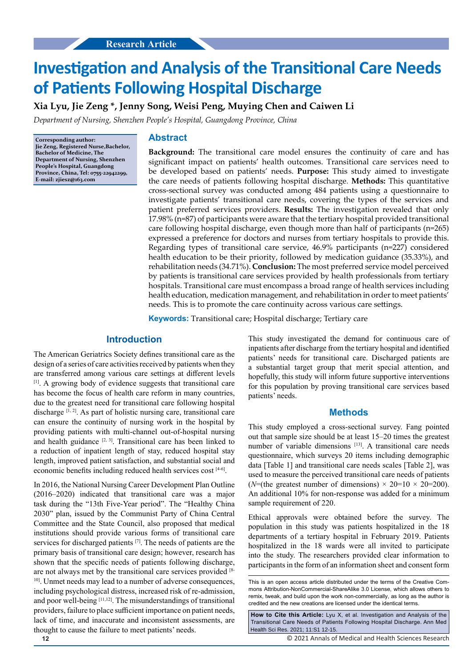# **Investigation and Analysis of the Transitional Care Needs of Patients Following Hospital Discharge**

**Xia Lyu, Jie Zeng \*, Jenny Song, Weisi Peng, Muying Chen and Caiwen Li**

*Department of Nursing, Shenzhen People's Hospital, Guangdong Province, China*

**Corresponding author: Jie Zeng, Registered Nurse,Bachelor, Bachelor of Medicine, The Department of Nursing, Shenzhen People's Hospital, Guangdong Province, China, Tel: 0755-22942299, E-mail: [zjiesz@163.com](mailto:zjiesz@163.com)**

#### **Abstract**

**Background:** The transitional care model ensures the continuity of care and has significant impact on patients' health outcomes. Transitional care services need to be developed based on patients' needs. **Purpose:** This study aimed to investigate the care needs of patients following hospital discharge. **Methods:** This quantitative cross-sectional survey was conducted among 484 patients using a questionnaire to investigate patients' transitional care needs, covering the types of the services and patient preferred services providers. **Results:** The investigation revealed that only 17.98% (n=87) of participants were aware that the tertiary hospital provided transitional care following hospital discharge, even though more than half of participants (n=265) expressed a preference for doctors and nurses from tertiary hospitals to provide this. Regarding types of transitional care service, 46.9% participants (n=227) considered health education to be their priority, followed by medication guidance (35.33%), and rehabilitation needs (34.71%). **Conclusion:** The most preferred service model perceived by patients is transitional care services provided by health professionals from tertiary hospitals. Transitional care must encompass a broad range of health services including health education, medication management, and rehabilitation in order to meet patients' needs. This is to promote the care continuity across various care settings.

**Keywords:** Transitional care; Hospital discharge; Tertiary care

# **Introduction**

The American Geriatrics Society defines transitional care as the design of a series of care activities received by patients when they are transferred among various care settings at different levels [1]. A growing body of evidence suggests that transitional care has become the focus of health care reform in many countries, due to the greatest need for transitional care following hospital discharge [1, 2]. As part of holistic nursing care, transitional care can ensure the continuity of nursing work in the hospital by providing patients with multi-channel out-of-hospital nursing and health guidance  $[2, 3]$ . Transitional care has been linked to a reduction of inpatient length of stay, reduced hospital stay length, improved patient satisfaction, and substantial social and economic benefits including reduced health services cost [4-6].

In 2016, the National Nursing Career Development Plan Outline (2016–2020) indicated that transitional care was a major task during the "13th Five-Year period". The "Healthy China 2030" plan, issued by the Communist Party of China Central Committee and the State Council, also proposed that medical institutions should provide various forms of transitional care services for discharged patients [7]. The needs of patients are the primary basis of transitional care design; however, research has shown that the specific needs of patients following discharge, are not always met by the transitional care services provided [8- <sup>10]</sup>. Unmet needs may lead to a number of adverse consequences, including psychological distress, increased risk of re-admission, and poor well-being  $[11,12]$ . The misunderstandings of transitional providers, failure to place sufficient importance on patient needs, lack of time, and inaccurate and inconsistent assessments, are thought to cause the failure to meet patients' needs.

This study investigated the demand for continuous care of inpatients after discharge from the tertiary hospital and identified patients' needs for transitional care. Discharged patients are a substantial target group that merit special attention, and hopefully, this study will inform future supportive interventions for this population by proving transitional care services based patients' needs.

#### **Methods**

This study employed a cross-sectional survey. Fang pointed out that sample size should be at least 15–20 times the greatest number of variable dimensions [13]. A transitional care needs questionnaire, which surveys 20 items including demographic data [Table 1] and transitional care needs scales [Table 2], was used to measure the perceived transitional care needs of patients ( $N=($ the greatest number of dimensions)  $\times$  20=10  $\times$  20=200). An additional 10% for non-response was added for a minimum sample requirement of 220.

Ethical approvals were obtained before the survey. The population in this study was patients hospitalized in the 18 departments of a tertiary hospital in February 2019. Patients hospitalized in the 18 wards were all invited to participate into the study. The researchers provided clear information to participants in the form of an information sheet and consent form

**How to Cite this Article:** Lyu X, et al. Investigation and Analysis of the Transitional Care Needs of Patients Following Hospital Discharge. Ann Med Health Sci Res. 2021; 11:S1 12-15.

© 2021 Annals of Medical and Health Sciences Research

This is an open access article distributed under the terms of the Creative Commons Attribution‑NonCommercial‑ShareAlike 3.0 License, which allows others to remix, tweak, and build upon the work non‑commercially, as long as the author is credited and the new creations are licensed under the identical terms.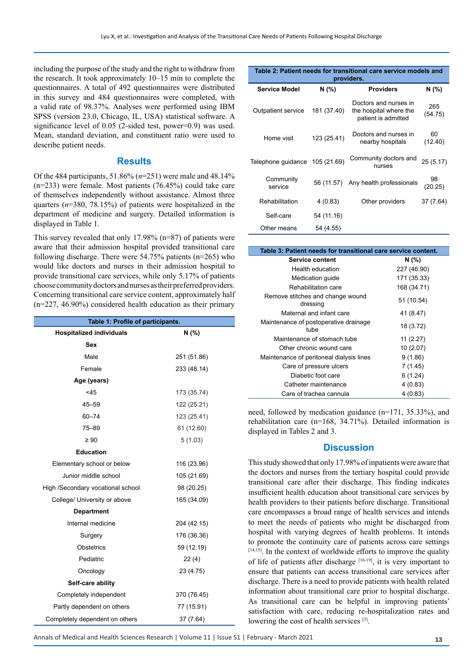including the purpose of the study and the right to withdraw from the research. It took approximately 10–15 min to complete the questionnaires. A total of 492 questionnaires were distributed in this survey and 484 questionnaires were completed, with a valid rate of 98.37%. Analyses were performed using IBM SPSS (version 23.0, Chicago, IL, USA) statistical software. A significance level of 0.05 (2-sided test, power=0.9) was used. Mean, standard deviation, and [constituent](C:/Program Files (x86)/Youdao/Dict/8.5.3.0/resultui/html/index.html#/javascript:;) [ratio](C:/Program Files (x86)/Youdao/Dict/8.5.3.0/resultui/html/index.html#/javascript:;) were used to describe patient needs.

# **Results**

Of the 484 participants, 51.86% (*n*=251) were male and 48.14% (n=233) were female. Most patients (76.45%) could take care of themselves independently without assistance. Almost three quarters (*n*=380, 78.15%) of patients were hospitalized in the department of medicine and surgery. Detailed information is displayed in Table 1.

This survey revealed that only 17.98% (n=87) of patients were aware that their admission hospital provided transitional care following discharge. There were 54.75% patients (n=265) who would like doctors and nurses in their admission hospital to provide transitional care services, while only 5.17% of patients choose community doctors and nurses as their preferred providers. Concerning transitional care service content, approximately half (n=227, 46.90%) considered health education as their primary

| Table 1: Profile of participants. |             |  |  |
|-----------------------------------|-------------|--|--|
| <b>Hospitalized individuals</b>   | N(% )       |  |  |
| <b>Sex</b>                        |             |  |  |
| Male                              | 251 (51.86) |  |  |
| Female                            | 233 (48.14) |  |  |
| Age (years)                       |             |  |  |
| $<$ 45                            | 173 (35.74) |  |  |
| $45 - 59$                         | 122 (25.21) |  |  |
| $60 - 74$                         | 123 (25.41) |  |  |
| 75–89                             | 61 (12.60)  |  |  |
| $\geq 90$                         | 5(1.03)     |  |  |
| <b>Education</b>                  |             |  |  |
| Elementary school or below        | 116 (23.96) |  |  |
| Junior middle school              | 105 (21.69) |  |  |
| High /Secondary vocational school | 98 (20.25)  |  |  |
| College/ University or above      | 165 (34.09) |  |  |
| <b>Department</b>                 |             |  |  |
| Internal medicine                 | 204 (42.15) |  |  |
| Surgery                           | 176 (36.36) |  |  |
| <b>Obstetrics</b>                 | 59 (12.19)  |  |  |
| Pediatric                         | 22(4)       |  |  |
| Oncology                          | 23 (4.75)   |  |  |
| Self-care ability                 |             |  |  |
| Completely independent            | 370 (76.45) |  |  |
| Partly dependent on others        | 77 (15.91)  |  |  |
| Completely dependent on others    | 37 (7.64)   |  |  |

| Table 2: Patient needs for transitional care service models and<br>providers. |             |                                                                        |                |  |
|-------------------------------------------------------------------------------|-------------|------------------------------------------------------------------------|----------------|--|
| <b>Service Model</b>                                                          | N (%)       | <b>Providers</b>                                                       | N (%)          |  |
| Outpatient service                                                            | 181 (37.40) | Doctors and nurses in<br>the hospital where the<br>patient is admitted | 265<br>(54.75) |  |
| Home visit                                                                    | 123 (25.41) | Doctors and nurses in<br>nearby hospitals                              | 60<br>(12.40)  |  |
| Telephone guidance                                                            | 105 (21.69) | Community doctors and<br>nurses                                        | 25(5.17)       |  |
| Community<br>service                                                          | 56 (11.57)  | Any health professionals                                               | 98<br>(20.25)  |  |
| Rehabilitation                                                                | 4(0.83)     | Other providers                                                        | 37 (7.64)      |  |
| Self-care                                                                     | 54 (11.16)  |                                                                        |                |  |
| Other means                                                                   | 54 (4.55)   |                                                                        |                |  |

| Table 3: Patient needs for transitional care service content. |             |  |  |
|---------------------------------------------------------------|-------------|--|--|
| Service content                                               | N (%)       |  |  |
| Health education                                              | 227 (46.90) |  |  |
| Medication guide                                              | 171 (35.33) |  |  |
| Rehabilitation care                                           | 168 (34.71) |  |  |
| Remove stitches and change wound<br>dressing                  | 51 (10.54)  |  |  |
| Maternal and infant care                                      | 41 (8.47)   |  |  |
| Maintenance of postoperative drainage<br>tube                 | 18 (3.72)   |  |  |
| Maintenance of stomach tube                                   | 11(2.27)    |  |  |
| Other chronic wound care                                      | 10(2.07)    |  |  |
| Maintenance of peritoneal dialysis lines                      | 9(1.86)     |  |  |
| Care of pressure ulcers                                       | 7(1.45)     |  |  |
| Diabetic foot care                                            | 6(1.24)     |  |  |
| Catheter maintenance                                          | 4(0.83)     |  |  |
| Care of trachea cannula                                       | 4 (0.83)    |  |  |

need, followed by medication guidance (n=171, 35.33%), and rehabilitation care (n=168, 34.71%). Detailed information is displayed in Tables 2 and 3.

# **Discussion**

This study showed that only 17.98% of inpatients were aware that the doctors and nurses from the tertiary hospital could provide transitional care after their discharge. This finding indicates insufficient health education about transitional care services by health providers to their patients before discharge. Transitional care encompasses a broad range of health services and intends to meet the needs of patients who might be discharged from hospital with varying degrees of health problems. It intends to promote the continuity care of patients across care settings  $[14,15]$ . In the context of worldwide efforts to improve the quality of life of patients after discharge [16-19], it is very important to ensure that patients can access transitional care services after discharge. There is a need to provide patients with health related information about transitional care prior to hospital discharge. As transitional care can be helpful in improving patients' satisfaction with care, reducing re-hospitalization rates and lowering the cost of health services [3].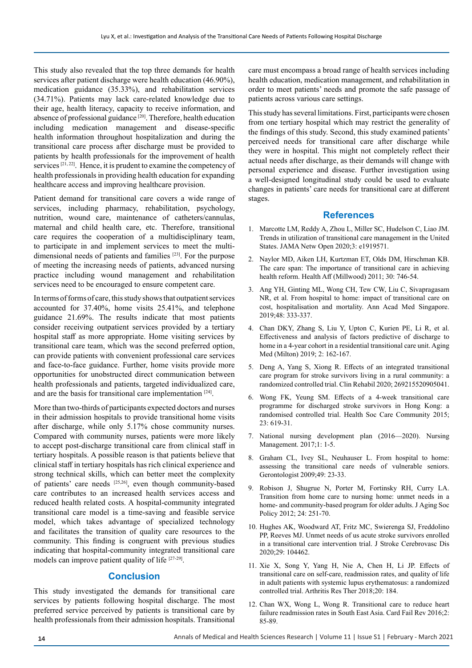This study also revealed that the top three demands for health services after patient discharge were health education (46.90%), medication guidance (35.33%), and rehabilitation services (34.71%). Patients may lack care-related knowledge due to their age, health literacy, capacity to receive information, and absence of professional guidance [20]. Therefore, health education including medication management and disease-specific health information throughout hospitalization and during the transitional care process after discharge must be provided to patients by health professionals for the improvement of health services [21, 22]. Hence, it is prudent to examine the competency of health professionals in providing health education for expanding healthcare access and improving healthcare provision.

Patient demand for transitional care covers a wide range of services, including pharmacy, rehabilitation, psychology, nutrition, wound care, maintenance of catheters/cannulas, maternal and child health care, etc. Therefore, transitional care requires the cooperation of a multidisciplinary team, to participate in and implement services to meet the multidimensional needs of patients and families [23]. For the purpose of meeting the increasing needs of patients, advanced nursing practice including wound management and rehabilitation services need to be encouraged to ensure competent care.

In terms of forms of care, this study shows that outpatient services accounted for 37.40%, home visits 25.41%, and telephone guidance 21.69%. The results indicate that most patients consider receiving outpatient services provided by a tertiary hospital staff as more appropriate. Home visiting services by transitional care team, which was the second preferred option, can provide patients with convenient professional care services and face-to-face guidance. Further, home visits provide more opportunities for unobstructed direct communication between health professionals and patients, targeted individualized care, and are the basis for transitional care implementation [24].

More than two-thirds of participants expected doctors and nurses in their admission hospitals to provide transitional home visits after discharge, while only 5.17% chose community nurses. Compared with community nurses, patients were more likely to accept post-discharge transitional care from clinical staff in tertiary hospitals. A possible reason is that patients believe that clinical staff in tertiary hospitals has rich clinical experience and strong technical skills, which can better meet the complexity of patients' care needs [25,26], even though community-based care contributes to an increased health services access and reduced health related costs. A hospital-community integrated transitional care model is a time-saving and feasible service model, which takes advantage of specialized technology and facilitates the transition of quality care resources to the community. This finding is congruent with previous studies indicating that hospital-community integrated transitional care models can improve patient quality of life [27-29].

# **Conclusion**

This study investigated the demands for transitional care services by patients following hospital discharge. The most preferred service perceived by patients is transitional care by health professionals from their admission hospitals. Transitional

care must encompass a broad range of health services including health education, medication management, and rehabilitation in order to meet patients' needs and promote the safe passage of patients across various care settings.

This study has several limitations. First, participants were chosen from one tertiary hospital which may restrict the generality of the findings of this study. Second, this study examined patients' perceived needs for transitional care after discharge while they were in hospital. This might not completely reflect their actual needs after discharge, as their demands will change with personal experience and disease. Further investigation using a well-designed longitudinal study could be used to evaluate changes in patients' care needs for transitional care at different stages.

#### **References**

- 1. Marcotte LM, Reddy A, Zhou L, Miller SC, Hudelson C, Liao JM. Trends in utilization of transitional care management in the United States. JAMA Netw Open 2020;3: e1919571.
- 2. Naylor MD, Aiken LH, Kurtzman ET, Olds DM, Hirschman KB. The care span: The importance of transitional care in achieving health reform. Health Aff (Millwood) 2011; 30: 746-54.
- 3. Ang YH, Ginting ML, Wong CH, Tew CW, Liu C, Sivapragasam NR, et al. From hospital to home: impact of transitional care on cost, hospitalisation and mortality. Ann Acad Med Singapore. 2019;48: 333-337.
- 4. Chan DKY, Zhang S, Liu Y, Upton C, Kurien PE, Li R, et al. Effectiveness and analysis of factors predictive of discharge to home in a 4-year cohort in a residential transitional care unit. Aging Med (Milton) 2019; 2: 162-167.
- 5. Deng A, Yang S, Xiong R. Effects of an integrated transitional care program for stroke survivors living in a rural community: a randomized controlled trial. Clin Rehabil 2020; 269215520905041.
- 6. Wong FK, Yeung SM. Effects of a 4-week transitional care programme for discharged stroke survivors in Hong Kong: a randomised controlled trial. Health Soc Care Community 2015; 23: 619-31.
- 7. National nursing development plan (2016—2020). Nursing Management. 2017;1: 1-5.
- 8. Graham CL, Ivey SL, Neuhauser L. From hospital to home: assessing the transitional care needs of vulnerable seniors. Gerontologist 2009;49: 23-33.
- 9. Robison J, Shugrue N, Porter M, Fortinsky RH, Curry LA. Transition from home care to nursing home: unmet needs in a home- and community-based program for older adults. J Aging Soc Policy 2012; 24: 251-70.
- 10. Hughes AK, Woodward AT, Fritz MC, Swierenga SJ, Freddolino PP, Reeves MJ. Unmet needs of us acute stroke survivors enrolled in a transitional care intervention trial. J Stroke Cerebrovasc Dis 2020;29: 104462.
- 11. Xie X, Song Y, Yang H, Nie A, Chen H, Li JP. Effects of transitional care on self-care, readmission rates, and quality of life in adult patients with systemic lupus erythematosus: a randomized controlled trial. Arthritis Res Ther 2018;20: 184.
- 12. Chan WX, Wong L, Wong R. Transitional care to reduce heart failure readmission rates in South East Asia. Card Fail Rev 2016;2: 85-89.